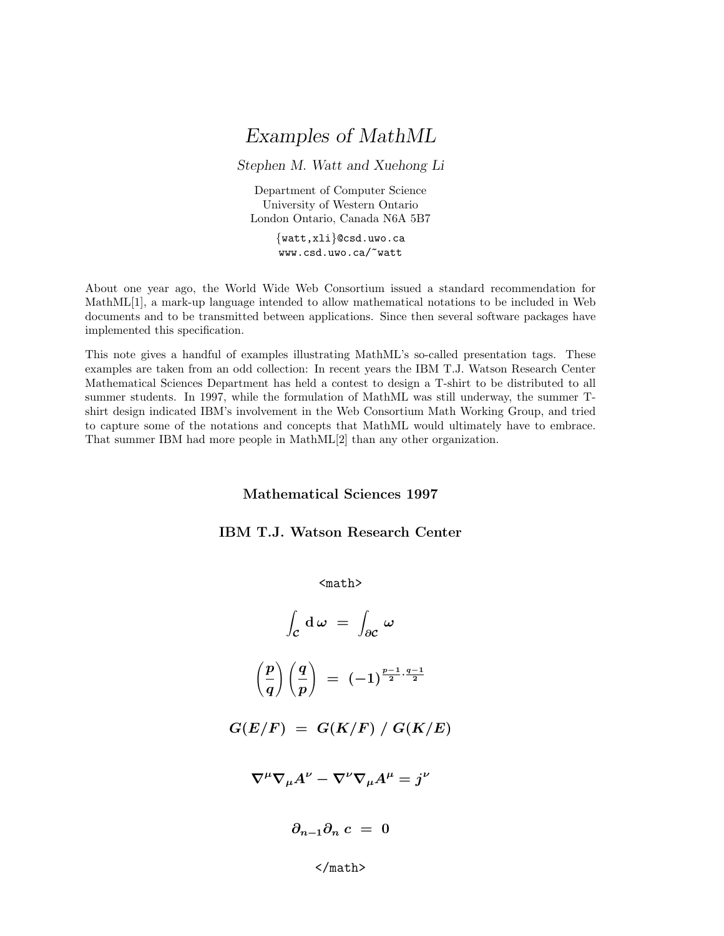# Examples of MathML

Stephen M. Watt and Xuehong Li

Department of Computer Science University of Western Ontario London Ontario, Canada N6A 5B7

> {watt,xli}@csd.uwo.ca www.csd.uwo.ca/~watt

About one year ago, the World Wide Web Consortium issued a standard recommendation for MathML[1], a mark-up language intended to allow mathematical notations to be included in Web documents and to be transmitted between applications. Since then several software packages have implemented this specification.

This note gives a handful of examples illustrating MathML's so-called presentation tags. These examples are taken from an odd collection: In recent years the IBM T.J. Watson Research Center Mathematical Sciences Department has held a contest to design a T-shirt to be distributed to all summer students. In 1997, while the formulation of MathML was still underway, the summer Tshirt design indicated IBM's involvement in the Web Consortium Math Working Group, and tried to capture some of the notations and concepts that MathML would ultimately have to embrace. That summer IBM had more people in MathML[2] than any other organization.

#### Mathematical Sciences 1997

### IBM T.J. Watson Research Center

 $$math$$ 

$$
\int_{\mathcal{C}} \mathrm{d}\,\omega = \int_{\partial\mathcal{C}} \omega
$$

$$
\left(\frac{p}{q}\right)\left(\frac{q}{p}\right) \;=\; (-1)^{\frac{p-1}{2}\cdot\frac{q-1}{2}}
$$

$$
G(E/F) = G(K/F) / G(K/E)
$$

$$
\nabla^{\mu}\nabla_{\mu}A^{\nu} - \nabla^{\nu}\nabla_{\mu}A^{\mu} = j^{\nu}
$$

 $\partial_{n-1}\partial_n c = 0$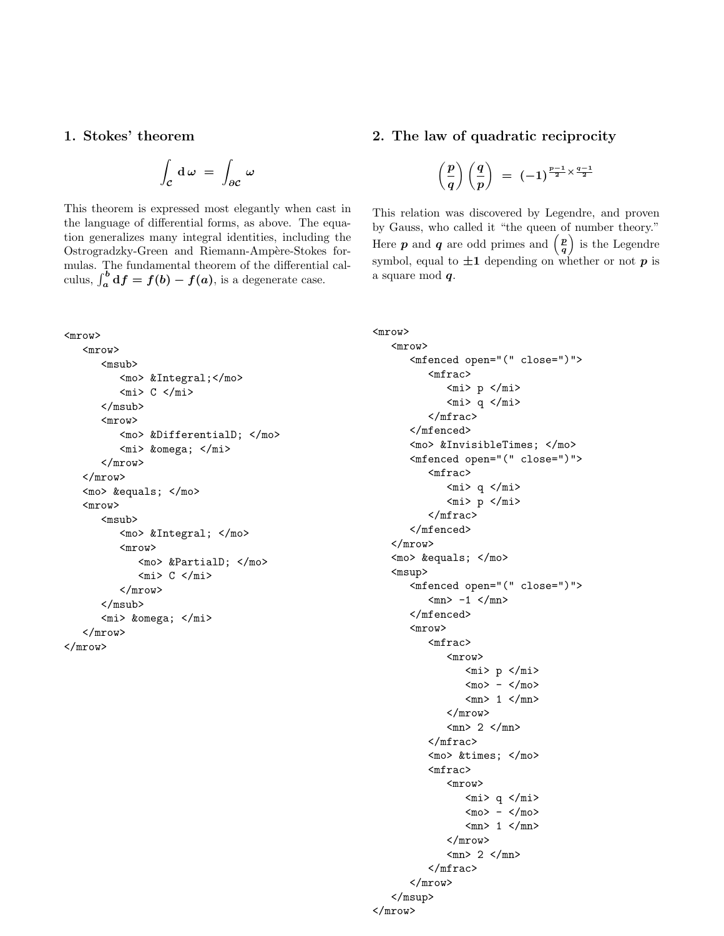#### 1. Stokes' theorem

$$
\int_{\mathcal{C}} \mathrm{d}\,\omega \;=\; \int_{\partial\mathcal{C}} \,\omega
$$

This theorem is expressed most elegantly when cast in the language of differential forms, as above. The equation generalizes many integral identities, including the Ostrogradzky-Green and Riemann-Ampère-Stokes formulas. The fundamental theorem of the differential calculus,  $\int_a^b df = f(b) - f(a)$ , is a degenerate case.

#### <mrow> <mrow> <msub> <mo> &Integral;</mo>  $<sub>m</sub> > C < /m1$ </sub> </msub> <mrow> <mo> &DifferentialD; </mo> <mi> &omega; </mi> </mrow> </mrow>  $<sub>mo</sub> >$  =  $<$ /mo></sub> <mrow> <msub> <mo> &Integral; </mo> <mrow> <mo> &PartialD; </mo>  $<sub>min</sub> > C < /min>$ </sub> </mrow> </msub> <mi> &omega; </mi> </mrow> </mrow>

# 2. The law of quadratic reciprocity

$$
\left(\frac{p}{q}\right)\left(\frac{q}{p}\right) \;=\; (-1)^{\frac{p-1}{2}\times \frac{q-1}{2}}
$$

This relation was discovered by Legendre, and proven by Gauss, who called it "the queen of number theory." Here **p** and **q** are odd primes and  $\begin{pmatrix} p \\ q \end{pmatrix}$  $\left(\frac{p}{q}\right)$  is the Legendre symbol, equal to  $\pm 1$  depending on whether or not p is a square mod q.

```
<mrow>
    <mrow>
          <mfenced open="(" close=")">
               <mfrac>
                    <sub>min</sub> p <sub>min</sub></sub></sub>
                    <sub>min</sub> > q <sub>min</sub></sub>
               </mfrac>
          </mfenced>
          <mo> &InvisibleTimes; </mo>
          <mfenced open="(" close=")">
               <mfrac>
                    <sub>min</sub> < q < /min</sub>
                    <sub>min</sub> p <sub>min</sub></sub></sub>
               </mfrac>
          </mfenced>
    </mrow>
    <sub>mo</sub> > = </mo></sub>
    <msup>
          <mfenced open="(" close=")">
               <sub>mn</sub> -1 </mn></sub>
          </mfenced>
          <mrow>
               <mfrac>
                    <mrow>
                         <sub>min</sub> p <sub>min</sub></sub></sub>
                         <sub>mo</sub> > - <sub>mo</sub></sub>
                         <sub>mn</sub> 1 </mn></sub>
                    </mrow>
                    <sub>mn</sub> > 2 < /mn</sub>
               </mfrac>
               <sub>mo</sub> > × </mo></sub>
               <mfrac>
                    <mrow>
                         <sub>min</sub> > q < /min</sub>
                         <sub>mo</sub> > - <sub>mo</sub></sub>
                         <sub>mn</sub> 1 <sub>mn</sub></sub></sub>
                    </mrow>
                    <sub>mn</sub> > 2 </mn></sub>
               </mfrac>
          </mrow>
    </msup>
</mrow>
```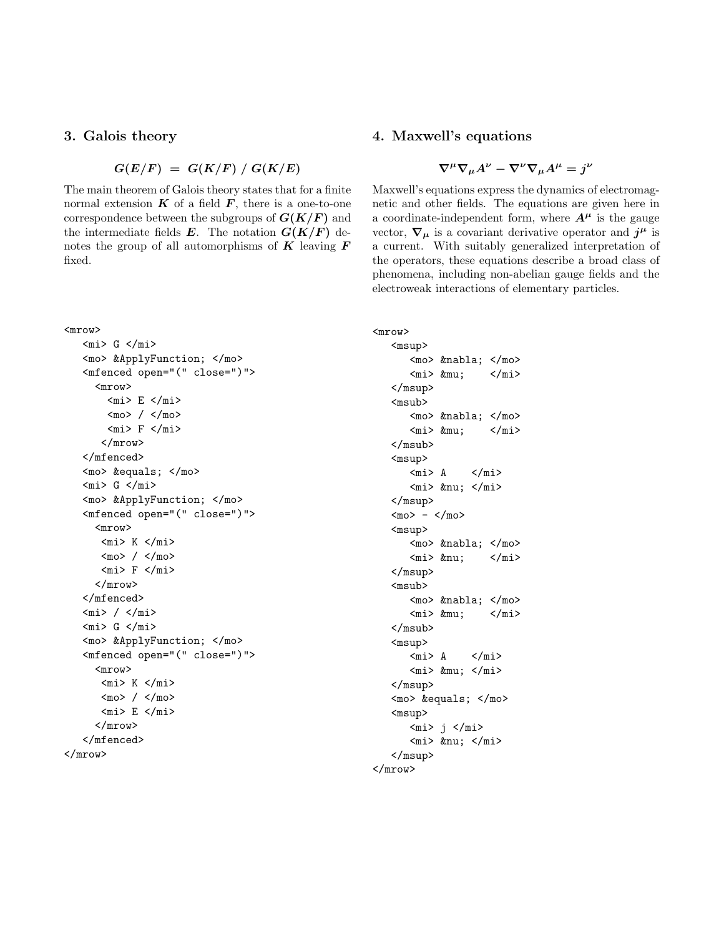#### 3. Galois theory

$$
G(E/F) = G(K/F) / G(K/E)
$$

The main theorem of Galois theory states that for a finite normal extension  $K$  of a field  $F$ , there is a one-to-one correspondence between the subgroups of  $G(K/F)$  and the intermediate fields  $E$ . The notation  $G(K/F)$  denotes the group of all automorphisms of  $\boldsymbol{K}$  leaving  $\boldsymbol{F}$ fixed.

# <mrow>

```
<sub>mi</sub> > G < /mi</sub>
     <mo> &ApplyFunction; </mo>
     <mfenced open="(" close=")">
         <mrow>
            <sub>min</sub> E < /<sub>min</sub></sub>
            <sub>mo</sub> / </mo></sub>
            <sub>min</sub> > F < /m<sub>min</sub></sub>
           </mrow>
     </mfenced>
     <sub>mo</sub> > = </mo></sub>
     <sub>mi</sub> > G < /mi</sub>
     <mo> &ApplyFunction; </mo>
     <mfenced open="(" close=")">
         <mrow>
           <sub>min</sub> > K <sub>min</sub></sub>
          <sub>mo</sub> / <sub>/mo</sub></sub></sub>
          <sub>min</sub> F <sub>min</sub></sub></sub>
         </mrow>
     </mfenced>
     <sub>min</sub> / <sub>min</sub></sub>
     <sub>m</sub> i > G < /m i ></sub>
     <mo> &ApplyFunction; </mo>
     <mfenced open="(" close=")">
         <mrow>
           <sub>min</sub> K <sub>min</sub></sub></sub>
           <sub>mo</sub> / <sub>/mo</sub></sub></sub>
           <sub>min</sub> E < /min</sub>
         </mrow>
     </mfenced>
</mrow>
```
# 4. Maxwell's equations

$$
\nabla^{\mu}\nabla_{\mu}A^{\nu} - \nabla^{\nu}\nabla_{\mu}A^{\mu} = j^{\nu}
$$

Maxwell's equations express the dynamics of electromagnetic and other fields. The equations are given here in a coordinate-independent form, where  $A^{\mu}$  is the gauge vector,  $\nabla_{\mu}$  is a covariant derivative operator and  $j^{\mu}$  is a current. With suitably generalized interpretation of the operators, these equations describe a broad class of phenomena, including non-abelian gauge fields and the electroweak interactions of elementary particles.

```
<mrow>
     <msup>
          <mo> &nabla; </mo>
          \langle \text{mi} \rangle μ \langle \text{mi} \rangle</msup>
     <msub>
          <mo> &nabla; </mo>
          \langle \text{mi} \rangle μ \langle \text{mi} \rangle</msub>
     <msup>
          <mi> A </mi>
          <sub>min</sub> ν </mi></sub>
     </msup>
     <sub>mo</sub> > - <sub>mo</sub></sub>
     <msup>
          <mo> &nabla; </mo>
         \langle \text{mi} \rangle ν \langle \text{mi} \rangle</msup>
     <msub>
         <sub>mo</sub> ∇ </mo></sub>
         \langle \text{mi} \rangle μ \langle \text{mi} \rangle</msub>
     <msup>
          <sub>m</sub> > A </mi></sub>
          <mi> μ </mi>
     </msup>
     <mo> &equals; </mo>
     <msup>
          <sub>min</sub> j <sub>min</sub></sub></sub>
          <sub>min</sub> ν </mi></sub>
     </msup>
</mrow>
```